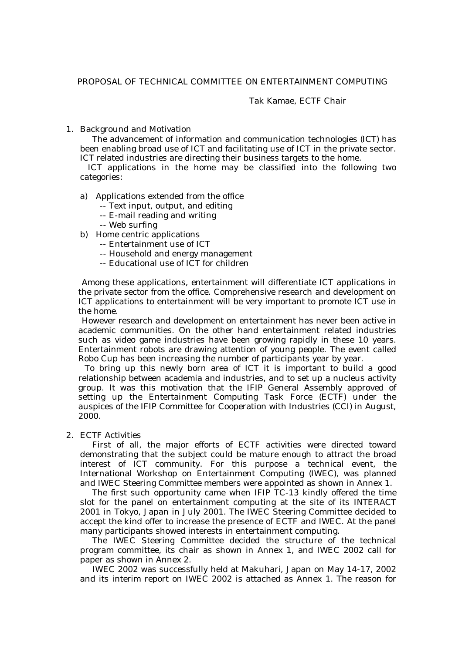# PROPOSAL OF TECHNICAL COMMITTEE ON ENTERTAINMENT COMPUTING

# Tak Kamae, ECTF Chair

## 1. Background and Motivation

The advancement of information and communication technologies (ICT) has been enabling broad use of ICT and facilitating use of ICT in the private sector. ICT related industries are directing their business targets to the home.

 ICT applications in the home may be classified into the following two categories:

- a) Applications extended from the office
	- -- Text input, output, and editing
	- -- E-mail reading and writing
	- -- Web surfing
- b) Home centric applications
	- -- Entertainment use of ICT
	- -- Household and energy management
	- -- Educational use of ICT for children

 Among these applications, entertainment will differentiate ICT applications in the private sector from the office. Comprehensive research and development on ICT applications to entertainment will be very important to promote ICT use in the home.

 However research and development on entertainment has never been active in academic communities. On the other hand entertainment related industries such as video game industries have been growing rapidly in these 10 years. Entertainment robots are drawing attention of young people. The event called Robo Cup has been increasing the number of participants year by year.

 To bring up this newly born area of ICT it is important to build a good relationship between academia and industries, and to set up a nucleus activity group. It was this motivation that the IFIP General Assembly approved of setting up the Entertainment Computing Task Force (ECTF) under the auspices of the IFIP Committee for Cooperation with Industries (CCI) in August, 2000.

## 2. ECTF Activities

First of all, the major efforts of ECTF activities were directed toward demonstrating that the subject could be mature enough to attract the broad interest of ICT community. For this purpose a technical event, the International Workshop on Entertainment Computing (IWEC), was planned and IWEC Steering Committee members were appointed as shown in Annex 1.

The first such opportunity came when IFIP TC-13 kindly offered the time slot for the panel on entertainment computing at the site of its INTERACT 2001 in Tokyo, Japan in July 2001. The IWEC Steering Committee decided to accept the kind offer to increase the presence of ECTF and IWEC. At the panel many participants showed interests in entertainment computing.

The IWEC Steering Committee decided the structure of the technical program committee, its chair as shown in Annex 1, and IWEC 2002 call for paper as shown in Annex 2.

IWEC 2002 was successfully held at Makuhari, Japan on May 14-17, 2002 and its interim report on IWEC 2002 is attached as Annex 1. The reason for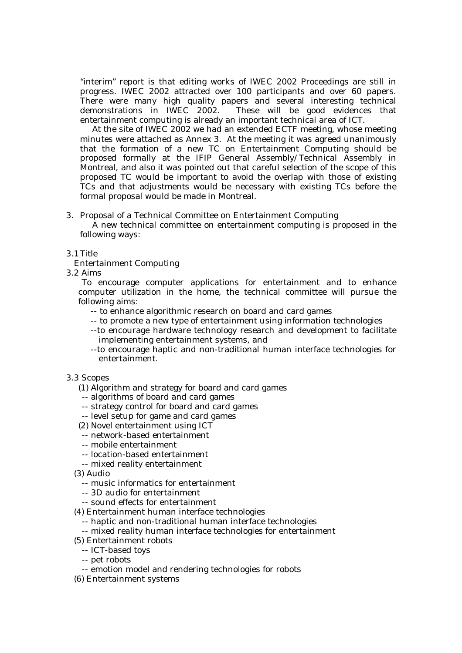"interim" report is that editing works of IWEC 2002 Proceedings are still in progress. IWEC 2002 attracted over 100 participants and over 60 papers. There were many high quality papers and several interesting technical demonstrations in IWEC 2002. These will be good evidences that entertainment computing is already an important technical area of ICT.

At the site of IWEC 2002 we had an extended ECTF meeting, whose meeting minutes were attached as Annex 3. At the meeting it was agreed unanimously that the formation of a new TC on Entertainment Computing should be proposed formally at the IFIP General Assembly/Technical Assembly in Montreal, and also it was pointed out that careful selection of the scope of this proposed TC would be important to avoid the overlap with those of existing TCs and that adjustments would be necessary with existing TCs before the formal proposal would be made in Montreal.

# 3. Proposal of a Technical Committee on Entertainment Computing

A new technical committee on entertainment computing is proposed in the following ways:

# 3.1Title

Entertainment Computing

3.2 Aims

 To encourage computer applications for entertainment and to enhance computer utilization in the home, the technical committee will pursue the following aims:

- -- to enhance algorithmic research on board and card games
- -- to promote a new type of entertainment using information technologies
- --to encourage hardware technology research and development to facilitate implementing entertainment systems, and
- --to encourage haptic and non-traditional human interface technologies for entertainment.

## 3.3 Scopes

- (1) Algorithm and strategy for board and card games
- -- algorithms of board and card games
- -- strategy control for board and card games
- -- level setup for game and card games
- (2) Novel entertainment using ICT
- -- network-based entertainment
- -- mobile entertainment
- -- location-based entertainment
- -- mixed reality entertainment
- (3) Audio
	- -- music informatics for entertainment
	- -- 3D audio for entertainment
- -- sound effects for entertainment
- (4) Entertainment human interface technologies
	- -- haptic and non-traditional human interface technologies
	- -- mixed reality human interface technologies for entertainment
- (5) Entertainment robots
	- -- ICT-based toys
	- -- pet robots
	- -- emotion model and rendering technologies for robots
- (6) Entertainment systems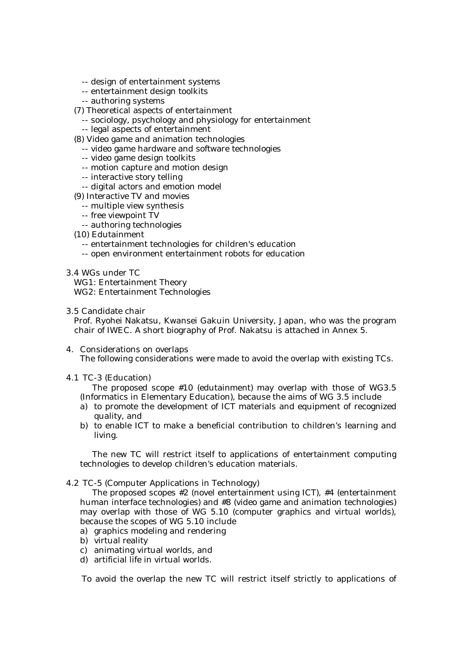- -- design of entertainment systems
- -- entertainment design toolkits
- -- authoring systems
- (7) Theoretical aspects of entertainment
	- -- sociology, psychology and physiology for entertainment
	- -- legal aspects of entertainment
- (8) Video game and animation technologies
	- -- video game hardware and software technologies
	- -- video game design toolkits
	- -- motion capture and motion design
	- -- interactive story telling
	- -- digital actors and emotion model
- (9) Interactive TV and movies
	- -- multiple view synthesis
	- -- free viewpoint TV
	- -- authoring technologies
- (10) Edutainment
	- -- entertainment technologies for children's education
	- -- open environment entertainment robots for education
- 3.4 WGs under TC

 WG1: Entertainment Theory WG2: Entertainment Technologies

3.5 Candidate chair

 Prof. Ryohei Nakatsu, Kwansei Gakuin University, Japan, who was the program chair of IWEC. A short biography of Prof. Nakatsu is attached in Annex 5.

- 4. Considerations on overlaps The following considerations were made to avoid the overlap with existing TCs.
- 4.1 TC-3 (Education)

The proposed scope #10 (edutainment) may overlap with those of WG3.5 (Informatics in Elementary Education), because the aims of WG 3.5 include

- a) to promote the development of ICT materials and equipment of recognized quality, and
- b) to enable ICT to make a beneficial contribution to children's learning and living.

The new TC will restrict itself to applications of entertainment computing technologies to develop children's education materials.

4.2 TC-5 (Computer Applications in Technology)

The proposed scopes #2 (novel entertainment using ICT), #4 (entertainment human interface technologies) and #8 (video game and animation technologies) may overlap with those of WG 5.10 (computer graphics and virtual worlds), because the scopes of WG 5.10 include

- a) graphics modeling and rendering
- b) virtual reality
- c) animating virtual worlds, and
- d) artificial life in virtual worlds.

To avoid the overlap the new TC will restrict itself strictly to applications of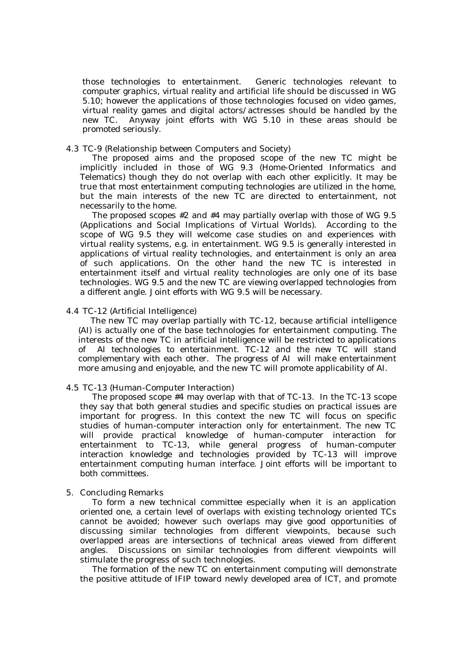those technologies to entertainment. Generic technologies relevant to computer graphics, virtual reality and artificial life should be discussed in WG 5.10; however the applications of those technologies focused on video games, virtual reality games and digital actors/actresses should be handled by the new TC. Anyway joint efforts with WG 5.10 in these areas should be promoted seriously.

# 4.3 TC-9 (Relationship between Computers and Society)

The proposed aims and the proposed scope of the new TC might be implicitly included in those of WG 9.3 (Home-Oriented Informatics and Telematics) though they do not overlap with each other explicitly. It may be true that most entertainment computing technologies are utilized in the home, but the main interests of the new TC are directed to entertainment, not necessarily to the home.

The proposed scopes #2 and #4 may partially overlap with those of WG 9.5 (Applications and Social Implications of Virtual Worlds). According to the scope of WG 9.5 they will welcome case studies on and experiences with virtual reality systems, e.g. in entertainment. WG 9.5 is generally interested in applications of virtual reality technologies, and entertainment is only an area of such applications. On the other hand the new TC is interested in entertainment itself and virtual reality technologies are only one of its base technologies. WG 9.5 and the new TC are viewing overlapped technologies from a different angle. Joint efforts with WG 9.5 will be necessary.

## 4.4 TC-12 (Artificial Intelligence)

The new TC may overlap partially with TC-12, because artificial intelligence (AI) is actually one of the base technologies for entertainment computing. The interests of the new TC in artificial intelligence will be restricted to applications of AI technologies to entertainment. TC-12 and the new TC will stand complementary with each other. The progress of AI will make entertainment more amusing and enjoyable, and the new TC will promote applicability of AI.

## 4.5 TC-13 (Human-Computer Interaction)

The proposed scope #4 may overlap with that of TC-13. In the TC-13 scope they say that both general studies and specific studies on practical issues are important for progress. In this context the new TC will focus on specific studies of human-computer interaction only for entertainment. The new TC will provide practical knowledge of human-computer interaction for entertainment to TC-13, while general progress of human-computer interaction knowledge and technologies provided by TC-13 will improve entertainment computing human interface. Joint efforts will be important to both committees.

## 5. Concluding Remarks

To form a new technical committee especially when it is an application oriented one, a certain level of overlaps with existing technology oriented TCs cannot be avoided; however such overlaps may give good opportunities of discussing similar technologies from different viewpoints, because such overlapped areas are intersections of technical areas viewed from different angles. Discussions on similar technologies from different viewpoints will stimulate the progress of such technologies.

The formation of the new TC on entertainment computing will demonstrate the positive attitude of IFIP toward newly developed area of ICT, and promote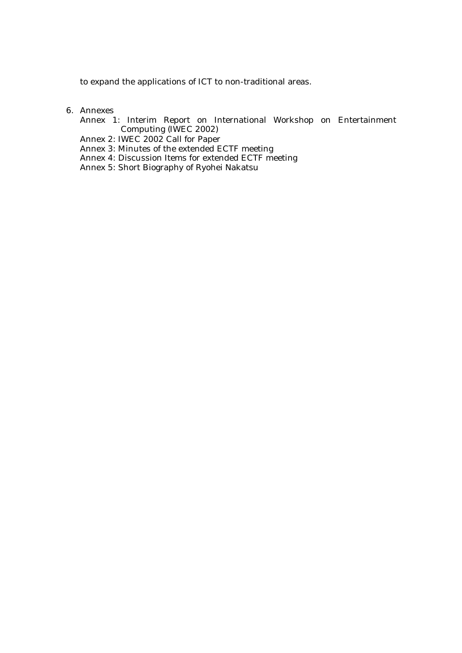to expand the applications of ICT to non-traditional areas.

- 6. Annexes
	- Annex 1: Interim Report on International Workshop on Entertainment Computing (IWEC 2002)
	- Annex 2: IWEC 2002 Call for Paper
	- Annex 3: Minutes of the extended ECTF meeting
	- Annex 4: Discussion Items for extended ECTF meeting
	- Annex 5: Short Biography of Ryohei Nakatsu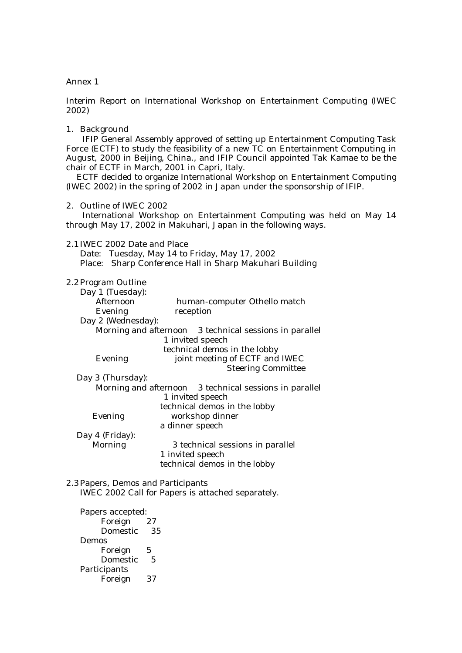Interim Report on International Workshop on Entertainment Computing (IWEC 2002)

## 1. Background

IFIP General Assembly approved of setting up Entertainment Computing Task Force (ECTF) to study the feasibility of a new TC on Entertainment Computing in August, 2000 in Beijing, China., and IFIP Council appointed Tak Kamae to be the chair of ECTF in March, 2001 in Capri, Italy.

 ECTF decided to organize International Workshop on Entertainment Computing (IWEC 2002) in the spring of 2002 in Japan under the sponsorship of IFIP.

2. Outline of IWEC 2002

International Workshop on Entertainment Computing was held on May 14 through May 17, 2002 in Makuhari, Japan in the following ways.

## 2.1IWEC 2002 Date and Place

Date: Tuesday, May 14 to Friday, May 17, 2002 Place: Sharp Conference Hall in Sharp Makuhari Building

## 2.2Program Outline

| Day 1 (Tuesday):   |                                                        |  |
|--------------------|--------------------------------------------------------|--|
| Afternoon          | human-computer Othello match                           |  |
| Evening            | reception                                              |  |
| Day 2 (Wednesday): |                                                        |  |
|                    | Morning and afternoon 3 technical sessions in parallel |  |
|                    | 1 invited speech                                       |  |
|                    | technical demos in the lobby                           |  |
| Evening            | joint meeting of ECTF and IWEC                         |  |
|                    | <b>Steering Committee</b>                              |  |
| Day 3 (Thursday):  |                                                        |  |
|                    | Morning and afternoon 3 technical sessions in parallel |  |
|                    | 1 invited speech                                       |  |
|                    | technical demos in the lobby                           |  |
| Evening            | workshop dinner                                        |  |
|                    | a dinner speech                                        |  |
| Day 4 (Friday):    |                                                        |  |
| Morning            | 3 technical sessions in parallel                       |  |
|                    | 1 invited speech                                       |  |

technical demos in the lobby

2.3Papers, Demos and Participants IWEC 2002 Call for Papers is attached separately.

Papers accepted: Foreign 27 Domestic 35 Demos Foreign 5 Domestic 5 **Participants** Foreign 37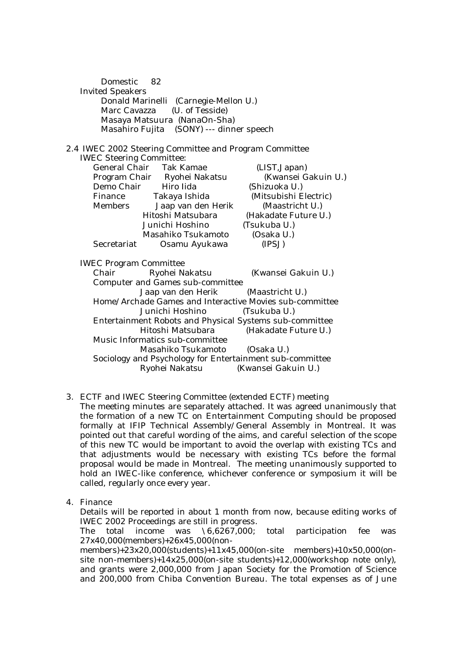| Domestic 82<br><b>Invited Speakers</b><br>Marc Cavazza   | Donald Marinelli (Carnegie-Mellon U.)<br>(U. of Tesside)<br>Masaya Matsuura (NanaOn-Sha)<br>Masahiro Fujita (SONY) --- dinner speech |                                                                         |  |
|----------------------------------------------------------|--------------------------------------------------------------------------------------------------------------------------------------|-------------------------------------------------------------------------|--|
|                                                          | 2.4 IWEC 2002 Steering Committee and Program Committee                                                                               |                                                                         |  |
| <b>IWEC Steering Committee:</b>                          |                                                                                                                                      |                                                                         |  |
|                                                          | General Chair Tak Kamae                                                                                                              | (LIST, Japan)                                                           |  |
|                                                          | Program Chair Ryohei Nakatsu                                                                                                         | (Kwansei Gakuin U.)                                                     |  |
|                                                          | Demo Chair Hiro Iida                                                                                                                 | (Shizuoka U.)                                                           |  |
|                                                          | Finance Takaya Ishida                                                                                                                | (Mitsubishi Electric)                                                   |  |
| Members                                                  | Jaap van den Herik                                                                                                                   | (Maastricht U.)                                                         |  |
|                                                          | Hitoshi Matsubara                                                                                                                    | (Hakadate Future U.)                                                    |  |
|                                                          | Junichi Hoshino                                                                                                                      | (Tsukuba U.)                                                            |  |
|                                                          | Masahiko Tsukamoto                                                                                                                   | (Osaka U.)                                                              |  |
| Secretariat                                              | Osamu Ayukawa                                                                                                                        | (IPSJ)                                                                  |  |
| <b>IWEC Program Committee</b>                            |                                                                                                                                      |                                                                         |  |
| Chair                                                    | Ryohei Nakatsu                                                                                                                       | (Kwansei Gakuin U.)                                                     |  |
|                                                          | <b>Computer and Games sub-committee</b>                                                                                              |                                                                         |  |
| Jaap van den Herik (Maastricht U.)                       |                                                                                                                                      |                                                                         |  |
|                                                          | Junichi Hoshino                                                                                                                      | Home/Archade Games and Interactive Movies sub-committee<br>(Tsukuba U.) |  |
|                                                          |                                                                                                                                      | Entertainment Robots and Physical Systems sub-committee                 |  |
|                                                          | Hitoshi Matsubara                                                                                                                    | (Hakadate Future U.)                                                    |  |
|                                                          | Music Informatics sub-committee                                                                                                      |                                                                         |  |
|                                                          | Masahiko Tsukamoto (Osaka U.)                                                                                                        |                                                                         |  |
| Sociology and Psychology for Entertainment sub-committee |                                                                                                                                      |                                                                         |  |
|                                                          | Ryohei Nakatsu                                                                                                                       | (Kwansei Gakuin U.)                                                     |  |
|                                                          |                                                                                                                                      |                                                                         |  |

3. ECTF and IWEC Steering Committee (extended ECTF) meeting

The meeting minutes are separately attached. It was agreed unanimously that the formation of a new TC on Entertainment Computing should be proposed formally at IFIP Technical Assembly/General Assembly in Montreal. It was pointed out that careful wording of the aims, and careful selection of the scope of this new TC would be important to avoid the overlap with existing TCs and that adjustments would be necessary with existing TCs before the formal proposal would be made in Montreal. The meeting unanimously supported to hold an IWEC-like conference, whichever conference or symposium it will be called, regularly once every year.

4. Finance

Details will be reported in about 1 month from now, because editing works of IWEC 2002 Proceedings are still in progress.

The total income was \6,6267,000; total participation fee was 27x40,000(members)+26x45,000(non-

members)+23x20,000(students)+11x45,000(on-site members)+10x50,000(onsite non-members)+14x25,000(on-site students)+12,000(workshop note only), and grants were 2,000,000 from Japan Society for the Promotion of Science and 200,000 from Chiba Convention Bureau. The total expenses as of June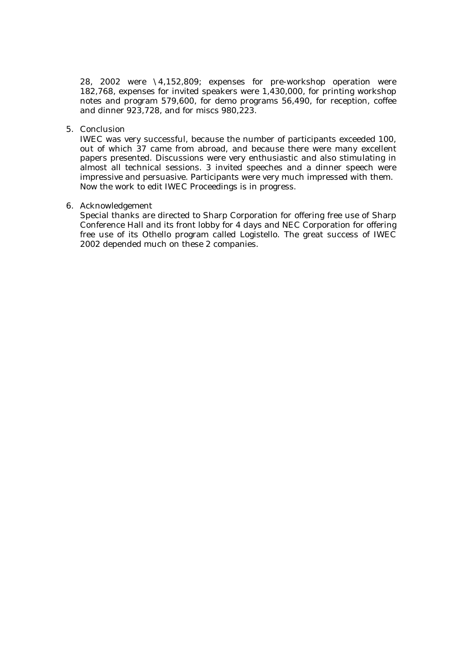28, 2002 were \4,152,809; expenses for pre-workshop operation were 182,768, expenses for invited speakers were 1,430,000, for printing workshop notes and program 579,600, for demo programs 56,490, for reception, coffee and dinner 923,728, and for miscs 980,223.

# 5. Conclusion

IWEC was very successful, because the number of participants exceeded 100, out of which 37 came from abroad, and because there were many excellent papers presented. Discussions were very enthusiastic and also stimulating in almost all technical sessions. 3 invited speeches and a dinner speech were impressive and persuasive. Participants were very much impressed with them. Now the work to edit IWEC Proceedings is in progress.

# 6. Acknowledgement

Special thanks are directed to Sharp Corporation for offering free use of Sharp Conference Hall and its front lobby for 4 days and NEC Corporation for offering free use of its Othello program called Logistello. The great success of IWEC 2002 depended much on these 2 companies.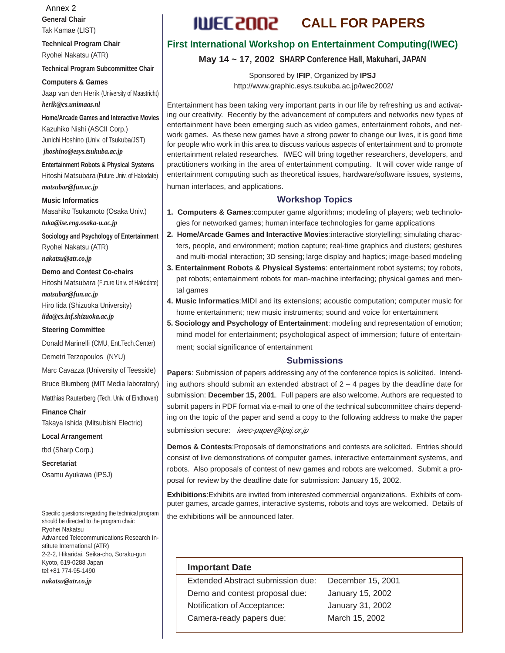**General Chair** Tak Kamae (LIST) Annex 2

**Technical Program Chair** Ryohei Nakatsu (ATR)

**Technical Program Subcommittee Chair**

**Computers & Games** Jaap van den Herik (University of Maastricht) *herik@cs.unimaas.nl*

**Home/Arcade Games and Interactive Movies** Kazuhiko Nishi (ASCII Corp.) Junichi Hoshino (Univ. of Tsukuba/JST)  *jhoshino@esys.tsukuba.ac.jp*

**Entertainment Robots & Physical Systems** Hitoshi Matsubara (Future Univ. of Hakodate) *matsubar@fun.ac.jp*

**Music Informatics**

Masahiko Tsukamoto (Osaka Univ.) *tuka@ise.eng.osaka-u.ac.jp*

**Sociology and Psychology of Entertainment** Ryohei Nakatsu (ATR) *nakatsu@atr.co.jp*

**Demo and Contest Co-chairs** Hitoshi Matsubara (Future Univ. of Hakodate) *matsubar@fun.ac.jp* Hiro Iida (Shizuoka University) *iida@cs.inf.shizuoka.ac.jp*

**Steering Committee** Donald Marinelli (CMU, Ent.Tech.Center)

Demetri Terzopoulos (NYU)

Marc Cavazza (University of Teesside)

Bruce Blumberg (MIT Media laboratory)

Matthias Rauterberg (Tech. Univ. of Eindhoven)

**Finance Chair** Takaya Ishida (Mitsubishi Electric)

**Local Arrangement**

tbd (Sharp Corp.)

**Secretariat** Osamu Ayukawa (IPSJ)

Specific questions regarding the technical program should be directed to the program chair: Ryohei Nakatsu Advanced Telecommunications Research Institute International (ATR) 2-2-2, Hikaridai, Seika-cho, Soraku-gun Kyoto, 619-0288 Japan tel:+81 774-95-1490

*nakatsu@atr.co.jp*

# **ILLIEC 2002 CALL FOR PAPERS**

# **First International Workshop on Entertainment Computing(IWEC)**

**May 14 ~ 17, 2002 SHARP Conference Hall, Makuhari, JAPAN**

Sponsored by **IFIP**, Organized by **IPSJ** http://www.graphic.esys.tsukuba.ac.jp/iwec2002/

Entertainment has been taking very important parts in our life by refreshing us and activating our creativity. Recently by the advancement of computers and networks new types of entertainment have been emerging such as video games, entertainment robots, and network games. As these new games have a strong power to change our lives, it is good time for people who work in this area to discuss various aspects of entertainment and to promote entertainment related researches. IWEC will bring together researchers, developers, and practitioners working in the area of entertainment computing. It will cover wide range of entertainment computing such as theoretical issues, hardware/software issues, systems, human interfaces, and applications.

# **Workshop Topics**

**1. Computers & Games**:computer game algorithms; modeling of players; web technologies for networked games; human interface technologies for game applications

**2. Home/Arcade Games and Interactive Movies**:interactive storytelling; simulating characters, people, and environment; motion capture; real-time graphics and clusters; gestures and multi-modal interaction; 3D sensing; large display and haptics; image-based modeling

- **3. Entertainment Robots & Physical Systems**: entertainment robot systems; toy robots, pet robots; entertainment robots for man-machine interfacing; physical games and mental games
- **4. Music Informatics**:MIDI and its extensions; acoustic computation; computer music for home entertainment; new music instruments; sound and voice for entertainment
- **5. Sociology and Psychology of Entertainment**: modeling and representation of emotion; mind model for entertainment; psychological aspect of immersion; future of entertainment; social significance of entertainment

# **Submissions**

**Papers**: Submission of papers addressing any of the conference topics is solicited. Intending authors should submit an extended abstract of  $2 - 4$  pages by the deadline date for submission: **December 15, 2001**. Full papers are also welcome. Authors are requested to submit papers in PDF format via e-mail to one of the technical subcommittee chairs depending on the topic of the paper and send a copy to the following address to make the paper submission secure: iwec-paper@ipsj.or.jp

**Demos & Contests**:Proposals of demonstrations and contests are solicited. Entries should consist of live demonstrations of computer games, interactive entertainment systems, and robots. Also proposals of contest of new games and robots are welcomed. Submit a proposal for review by the deadline date for submission: January 15, 2002.

**Exhibitions**:Exhibits are invited from interested commercial organizations. Exhibits of computer games, arcade games, interactive systems, robots and toys are welcomed. Details of the exhibitions will be announced later.

# **Important Date**

Extended Abstract submission due: December 15, 2001 Demo and contest proposal due: January 15, 2002 Notification of Acceptance: January 31, 2002 Camera-ready papers due: March 15, 2002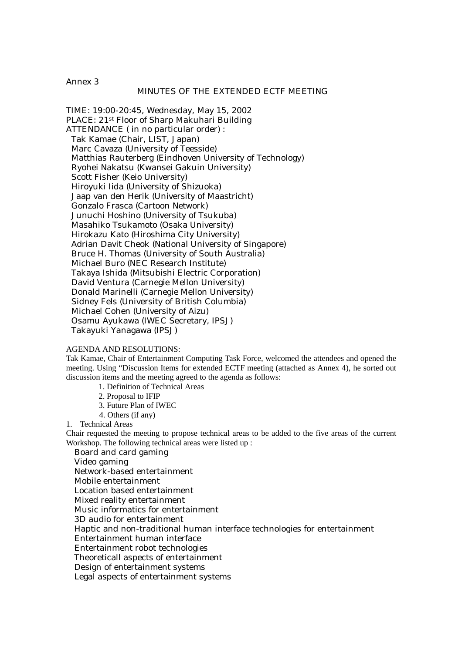## MINUTES OF THE EXTENDED ECTF MEETING

TIME: 19:00-20:45, Wednesday, May 15, 2002 PLACE: 21st Floor of Sharp Makuhari Building ATTENDANCE ( in no particular order) : Tak Kamae (Chair, LIST, Japan) Marc Cavaza (University of Teesside) Matthias Rauterberg (Eindhoven University of Technology) Ryohei Nakatsu (Kwansei Gakuin University) Scott Fisher (Keio University) Hiroyuki Iida (University of Shizuoka) Jaap van den Herik (University of Maastricht) Gonzalo Frasca (Cartoon Network) Junuchi Hoshino (University of Tsukuba) Masahiko Tsukamoto (Osaka University) Hirokazu Kato (Hiroshima City University) Adrian Davit Cheok (National University of Singapore) Bruce H. Thomas (University of South Australia) Michael Buro (NEC Research Institute) Takaya Ishida (Mitsubishi Electric Corporation) David Ventura (Carnegie Mellon University) Donald Marinelli (Carnegie Mellon University) Sidney Fels (University of British Columbia) Michael Cohen (University of Aizu) Osamu Ayukawa (IWEC Secretary, IPSJ) Takayuki Yanagawa (IPSJ)

#### AGENDA AND RESOLUTIONS:

Tak Kamae, Chair of Entertainment Computing Task Force, welcomed the attendees and opened the meeting. Using "Discussion Items for extended ECTF meeting (attached as Annex 4), he sorted out discussion items and the meeting agreed to the agenda as follows:

- 1. Definition of Technical Areas
- 2. Proposal to IFIP
- 3. Future Plan of IWEC
- 4. Others (if any)

1. Technical Areas

Chair requested the meeting to propose technical areas to be added to the five areas of the current Workshop. The following technical areas were listed up :

Board and card gaming

Video gaming

Network-based entertainment

Mobile entertainment

Location based entertainment

Mixed reality entertainment

Music informatics for entertainment

3D audio for entertainment

Haptic and non-traditional human interface technologies for entertainment

Entertainment human interface

Entertainment robot technologies

Theoreticall aspects of entertainment

Design of entertainment systems

Legal aspects of entertainment systems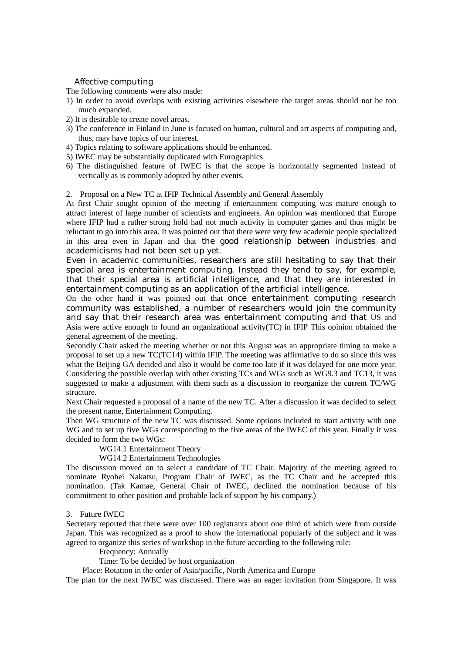# Affective computing

The following comments were also made:

- 1) In order to avoid overlaps with existing activities elsewhere the target areas should not be too much expanded.
- 2) It is desirable to create novel areas.
- 3) The conference in Finland in June is focused on human, cultural and art aspects of computing and, thus, may have topics of our interest.
- 4) Topics relating to software applications should be enhanced.
- 5) IWEC may be substantially duplicated with Eurographics
- 6) The distinguished feature of IWEC is that the scope is horizontally segmented instead of vertically as is commonly adopted by other events.

## 2. Proposal on a New TC at IFIP Technical Assembly and General Assembly

At first Chair sought opinion of the meeting if entertainment computing was mature enough to attract interest of large number of scientists and engineers. An opinion was mentioned that Europe where IFIP had a rather strong hold had not much activity in computer games and thus might be reluctant to go into this area. It was pointed out that there were very few academic people specialized in this area even in Japan and that the good relationship between industries and academicisms had not been set up yet.

Even in academic communities, researchers are still hesitating to say that their special area is entertainment computing. Instead they tend to say, for example, that their special area is artificial intelligence, and that they are interested in entertainment computing as an application of the artificial intelligence.

On the other hand it was pointed out that once entertainment computing research community was established, a number of researchers would join the community and say that their research area was entertainment computing and that US and Asia were active enough to found an organizational activity(TC) in IFIP This opinion obtained the general agreement of the meeting.

Secondly Chair asked the meeting whether or not this August was an appropriate timing to make a proposal to set up a new TC(TC14) within IFIP. The meeting was affirmative to do so since this was what the Beijing GA decided and also it would be come too late if it was delayed for one more year. Considering the possible overlap with other existing TCs and WGs such as WG9.3 and TC13, it was suggested to make a adjustment with them such as a discussion to reorganize the current TC/WG structure.

Next Chair requested a proposal of a name of the new TC. After a discussion it was decided to select the present name, Entertainment Computing.

Then WG structure of the new TC was discussed. Some options included to start activity with one WG and to set up five WGs corresponding to the five areas of the IWEC of this year. Finally it was decided to form the two WGs:

WG14.1 Entertainment Theory

WG14.2 Entertainment Technologies

The discussion moved on to select a candidate of TC Chair. Majority of the meeting agreed to nominate Ryohei Nakatsu, Program Chair of IWEC, as the TC Chair and he accepted this nomination. (Tak Kamae, General Chair of IWEC, declined the nomination because of his commitment to other position and probable lack of support by his company.)

# 3. Future IWEC

Secretary reported that there were over 100 registrants about one third of which were from outside Japan. This was recognized as a proof to show the international popularly of the subject and it was agreed to organize this series of workshop in the future according to the following rule:

Frequency: Annually

Time: To be decided by host organization

Place: Rotation in the order of Asia/pacific, North America and Europe

The plan for the next IWEC was discussed. There was an eager invitation from Singapore. It was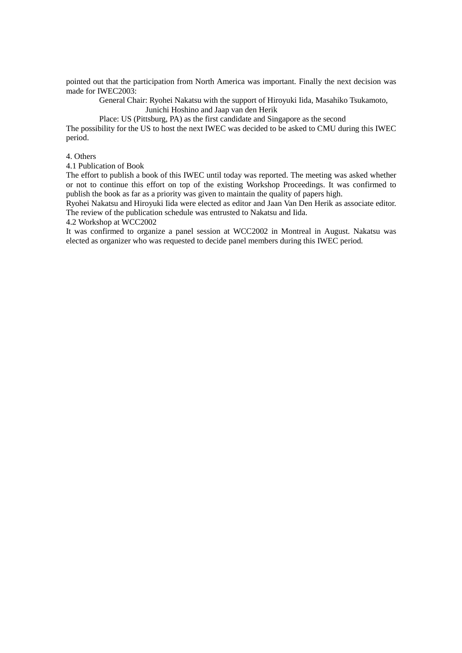pointed out that the participation from North America was important. Finally the next decision was made for IWEC2003:

General Chair: Ryohei Nakatsu with the support of Hiroyuki Iida, Masahiko Tsukamoto, Junichi Hoshino and Jaap van den Herik

Place: US (Pittsburg, PA) as the first candidate and Singapore as the second

The possibility for the US to host the next IWEC was decided to be asked to CMU during this IWEC period.

## 4. Others

4.1 Publication of Book

The effort to publish a book of this IWEC until today was reported. The meeting was asked whether or not to continue this effort on top of the existing Workshop Proceedings. It was confirmed to publish the book as far as a priority was given to maintain the quality of papers high.

Ryohei Nakatsu and Hiroyuki Iida were elected as editor and Jaan Van Den Herik as associate editor. The review of the publication schedule was entrusted to Nakatsu and Iida.

## 4.2 Workshop at WCC2002

It was confirmed to organize a panel session at WCC2002 in Montreal in August. Nakatsu was elected as organizer who was requested to decide panel members during this IWEC period.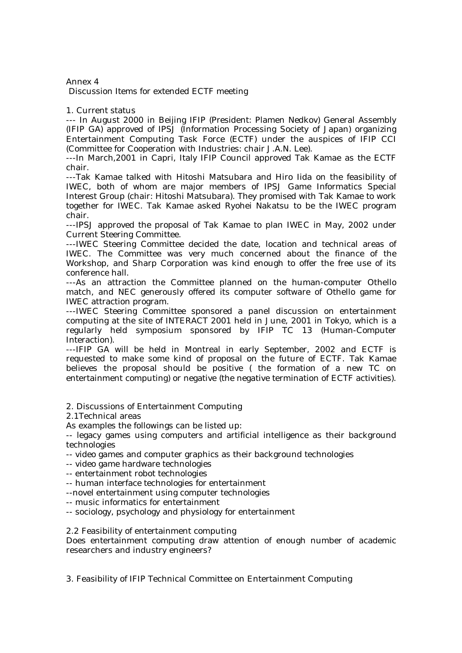Discussion Items for extended ECTF meeting

# 1. Current status

--- In August 2000 in Beijing IFIP (President: Plamen Nedkov) General Assembly (IFIP GA) approved of IPSJ (Information Processing Society of Japan) organizing Entertainment Computing Task Force (ECTF) under the auspices of IFIP CCI (Committee for Cooperation with Industries: chair J.A.N. Lee).

---In March,2001 in Capri, Italy IFIP Council approved Tak Kamae as the ECTF chair.

---Tak Kamae talked with Hitoshi Matsubara and Hiro Iida on the feasibility of IWEC, both of whom are major members of IPSJ Game Informatics Special Interest Group (chair: Hitoshi Matsubara). They promised with Tak Kamae to work together for IWEC. Tak Kamae asked Ryohei Nakatsu to be the IWEC program chair.

---IPSJ approved the proposal of Tak Kamae to plan IWEC in May, 2002 under Current Steering Committee.

---IWEC Steering Committee decided the date, location and technical areas of IWEC. The Committee was very much concerned about the finance of the Workshop, and Sharp Corporation was kind enough to offer the free use of its conference hall.

---As an attraction the Committee planned on the human-computer Othello match, and NEC generously offered its computer software of Othello game for IWEC attraction program.

---IWEC Steering Committee sponsored a panel discussion on entertainment computing at the site of INTERACT 2001 held in June, 2001 in Tokyo, which is a regularly held symposium sponsored by IFIP TC 13 (Human-Computer Interaction).

---IFIP GA will be held in Montreal in early September, 2002 and ECTF is requested to make some kind of proposal on the future of ECTF. Tak Kamae believes the proposal should be positive ( the formation of a new TC on entertainment computing) or negative (the negative termination of ECTF activities).

2. Discussions of Entertainment Computing

2.1Technical areas

As examples the followings can be listed up:

-- legacy games using computers and artificial intelligence as their background technologies

-- video games and computer graphics as their background technologies

-- video game hardware technologies

-- entertainment robot technologies

-- human interface technologies for entertainment

--novel entertainment using computer technologies

-- music informatics for entertainment

-- sociology, psychology and physiology for entertainment

2.2 Feasibility of entertainment computing

Does entertainment computing draw attention of enough number of academic researchers and industry engineers?

3. Feasibility of IFIP Technical Committee on Entertainment Computing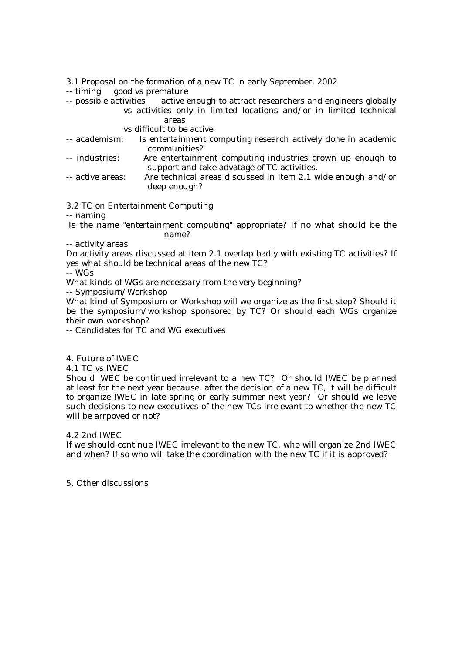3.1 Proposal on the formation of a new TC in early September, 2002

- -- timing good vs premature
- -- possible activities active enough to attract researchers and engineers globally vs activities only in limited locations and/or in limited technical areas

# vs difficult to be active

- -- academism: Is entertainment computing research actively done in academic communities?
- -- industries: Are entertainment computing industries grown up enough to support and take advatage of TC activities.
- -- active areas: Are technical areas discussed in item 2.1 wide enough and/or deep enough?

3.2 TC on Entertainment Computing

-- naming

 Is the name "entertainment computing" appropriate? If no what should be the name?

## -- activity areas

Do activity areas discussed at item 2.1 overlap badly with existing TC activities? If yes what should be technical areas of the new TC?

-- WGs

What kinds of WGs are necessary from the very beginning?

-- Symposium/Workshop

What kind of Symposium or Workshop will we organize as the first step? Should it be the symposium/workshop sponsored by TC? Or should each WGs organize their own workshop?

-- Candidates for TC and WG executives

4. Future of IWEC

4.1 TC vs IWEC

Should IWEC be continued irrelevant to a new TC? Or should IWEC be planned at least for the next year because, after the decision of a new TC, it will be difficult to organize IWEC in late spring or early summer next year? Or should we leave such decisions to new executives of the new TCs irrelevant to whether the new TC will be arrpoved or not?

# 4.2 2nd IWEC

If we should continue IWEC irrelevant to the new TC, who will organize 2nd IWEC and when? If so who will take the coordination with the new TC if it is approved?

5. Other discussions